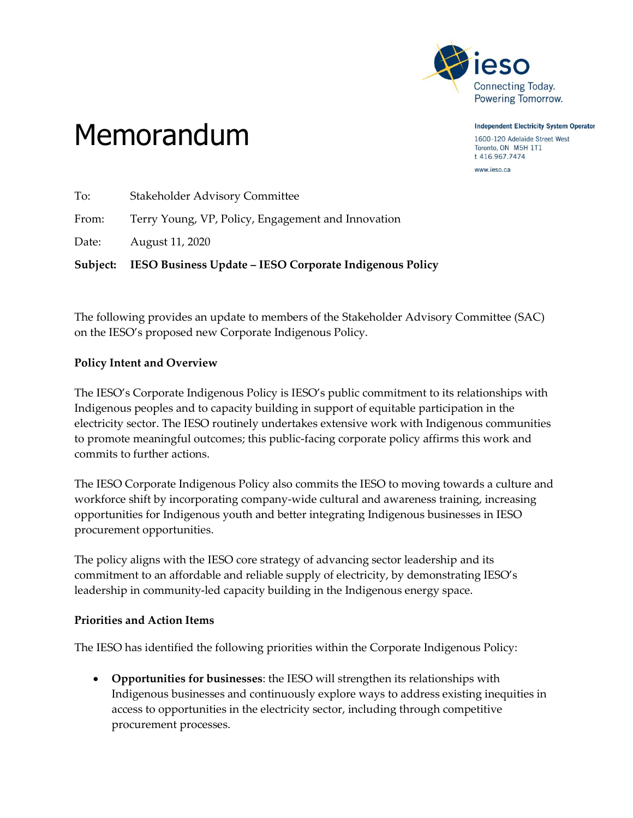

**Independent Electricity System Operator** 1600-120 Adelaide Street West Toronto, ON M5H 1T1 t 416.967.7474 www.ieso.ca

## Memorandum

|       | Subject: IESO Business Update - IESO Corporate Indigenous Policy |
|-------|------------------------------------------------------------------|
| Date: | August 11, 2020                                                  |
| From: | Terry Young, VP, Policy, Engagement and Innovation               |
| To:   | <b>Stakeholder Advisory Committee</b>                            |

The following provides an update to members of the Stakeholder Advisory Committee (SAC) on the IESO's proposed new Corporate Indigenous Policy.

## **Policy Intent and Overview**

The IESO's Corporate Indigenous Policy is IESO's public commitment to its relationships with Indigenous peoples and to capacity building in support of equitable participation in the electricity sector. The IESO routinely undertakes extensive work with Indigenous communities to promote meaningful outcomes; this public-facing corporate policy affirms this work and commits to further actions.

The IESO Corporate Indigenous Policy also commits the IESO to moving towards a culture and workforce shift by incorporating company-wide cultural and awareness training, increasing opportunities for Indigenous youth and better integrating Indigenous businesses in IESO procurement opportunities.

The policy aligns with the IESO core strategy of advancing sector leadership and its commitment to an affordable and reliable supply of electricity, by demonstrating IESO's leadership in community-led capacity building in the Indigenous energy space.

## **Priorities and Action Items**

The IESO has identified the following priorities within the Corporate Indigenous Policy:

 **Opportunities for businesses**: the IESO will strengthen its relationships with Indigenous businesses and continuously explore ways to address existing inequities in access to opportunities in the electricity sector, including through competitive procurement processes.